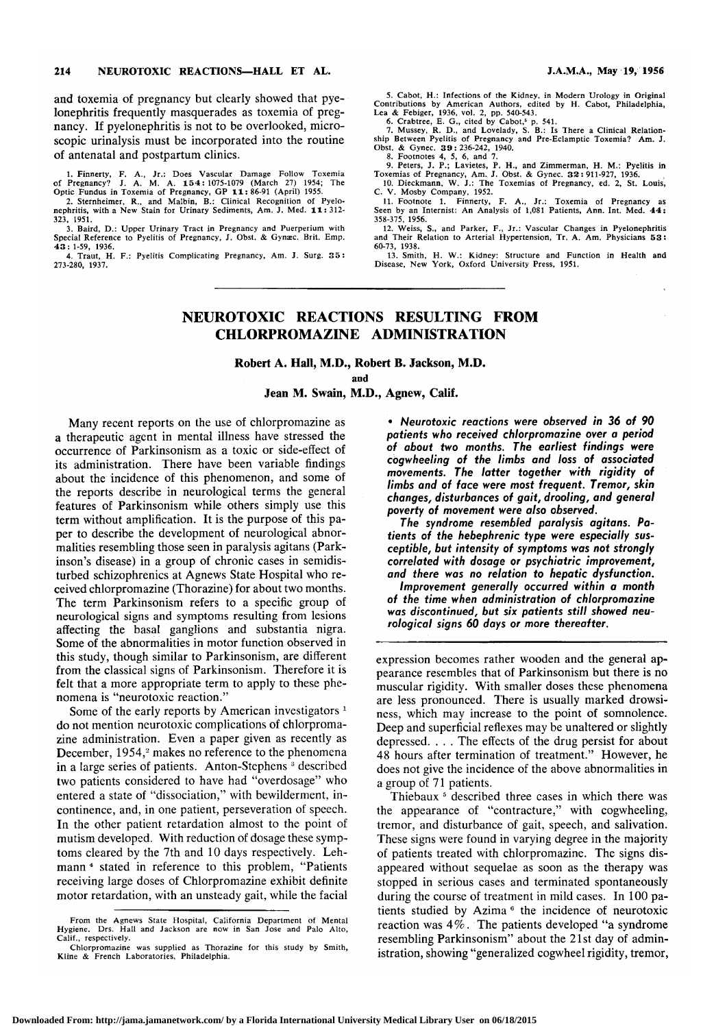and toxemia of pregnancy but clearly showed that pyelonephritis frequently masquerades as toxemia of pregnancy. If pyelonephritis is not to be overlooked, microscopic urinalysis must be incorporated into the routine of antenatal and postpartum clinics.

1. Finnerty, F. A., Jr.: Does Vascular Damage Follow Toxemia<br>of Pregnancy? J. A. M. A. 154:1075-1079 (March 27) 1954; The<br>Optic Fundus in Toxemia of Pregnancy, GP 11:86-91 (April) 1955.<br>2. Sternheimer, R., and Malbin, B.:

323, 1951.

3. Baird, D.: Upper Urinary Tract in Pregnancy and Puerperium with Special Reference to Pyelitis of Pregnancy, J. Obst. & Gynæc. Brit. Emp. 43: 1-59, 1936.

4. Traut, H. F.: Pyelitis Complicating Pregnancy, Am. J. Surg. 35: 273-280, 1937.

5. Cabot, H.: Infections of the Kidney, in Modern Urology in Original<br>Contributions by American Authors, edited by H. Cabot, Philadelphia,<br>Lea & Febiger, 1936, vol. 2, pp. 540-543.<br>6. Crabtree, E. G., cited by Cabot,<sup>5</sup> p.

Obst. & Gynec. 39: 236-242, 1940.<br>8. Footnotes 4, 5, 6, and 7.<br>9. Peters, J. P.; Lavietes, P. H., and Zimmerman, H. M.: Pyelitis in<br>Toxemias of Pregnancy, Am. J. Obst. & Gynec. 32: 911-927, 1936.<br>10. Dieckmann, W. J.: The

C. V. Mosby Company, 1952. 11. Footnote 1. Finnerty, F. A., Jr.: Toxemia of Pregnancy as Seen by an Internist: An Analysis of 1,081 Patients, Ann. Int. Med. 44:

358-375, 1956. 12. Weiss, S., and Parker, F., Jr.: Vascular Changes in Pyelonephritis and Their Relation to Arterial Hypertension, Tr. A. Am. Physicians 53: 60-73, 1938.

13. Smith, H. W.: Kidney: Structure and Function in Health and Disease, New York, Oxford University Press, 1951.

# NEUROTOXIC REACTIONS RESULTING FROM CHLORPROMAZINE ADMINISTRATION

Robert A. Hall, M.D., Robert B. Jackson, M.D.

and

#### Jean M. Swain, M.D., Agnew, Calif.

Many recent reports on the use of chlorpromazine as <sup>a</sup> therapeutic agent in mental illness have stressed the occurrence of Parkinsonism as <sup>a</sup> toxic or side-effect of its administration. There have been variable findings about the incidence of this phenomenon, and some of the reports describe in neurological terms the general features of Parkinsonism while others simply use this term without amplification. It is the purpose of this paper to describe the development of neurological abnormalities resembling those seen in paralysis agitans (Parkinson's disease) in <sup>a</sup> group of chronic cases in semidisturbed schizophrenics at Agnews State Hospital who received chlorpromazine (Thorazine) for about two months. The term Parkinsonism refers to a specific group of neurological signs and symptoms resulting from lesions affecting the basal ganglions and substantia nigra. Some of the abnormalities in motor function observed in this study, though similar to Parkinsonism, are different from the classical signs of Parkinsonism. Therefore it is felt that a more appropriate term to apply to these phenomena is "neurotoxic reaction."

Some of the early reports by American investigators<sup>1</sup> do not mention neurotoxic complications of chlorpromazine administration. Even <sup>a</sup> paper given as recently as December,  $1954$ ,<sup>2</sup> makes no reference to the phenomena in a large series of patients. Anton-Stephens <sup>3</sup> described two patients considered to have had "overdosage" who entered <sup>a</sup> state of "dissociation," with bewilderment, in continence, and, in one patient, perseveration of speech. In the other patient retardation almost to the point of mutism developed. With reduction of dosage these symptoms cleared by the 7th and 10 days respectively. Lehmann <sup>4</sup> stated in reference to this problem, "Patients receiving large doses of Chlorpromazine exhibit definite motor retardation, with an unsteady gait, while the facial

\s=b\Neurotoxic reactions were observed in 36 of 90 patients who received chlorpromazine over <sup>a</sup> period of about two months. The earliest findings were cogwheeling of the limbs and loss of associated movements. The latter together with rigidity of limbs and of face were most frequent. Tremor, skin changes, disturbances of gait, drooling, and general poverty of movement were also observed.

The syndrome resembled paralysis agitans. Patients of the hebephrenic type were especially susceptible, but intensity of symptoms was not strongly correlated with dosage or psychiatric improvement, and there was no relation to hepatic dysfunction. Improvement generally occurred within <sup>a</sup> month

of the time when administration of chlorpromazine was discontinued, but six patients still showed neurological signs 60 days or more thereafter.

expression becomes rather wooden and the general ap pearance resembles that of Parkinsonism but there is no muscular rigidity. With smaller doses these phenomena are less pronounced. There is usually marked drowsiness, which may increase to the point of somnolence. Deep and superficial reflexes may be unaltered or slightly depressed. . . . The effects of the drug persist for about 48 hours after termination of treatment." However, he does not give the incidence of the above abnormalities in <sup>a</sup> group of <sup>71</sup> patients.

Thiebaux<sup>5</sup> described three cases in which there was the appearance of "contracture," with cogwheeling, tremor, and disturbance of gait, speech, and salivation. These signs were found in varying degree in the majority of patients treated with chlorpromazine. The signs disappeared without sequelae as soon as the therapy was stopped in serious cases and terminated spontaneously during the course of treatment in mild cases. In 100 patients studied by Azima  $6$  the incidence of neurotoxic reaction was 4%. The patients developed "a syndrome resembling Parkinsonism" about the 21st day of administration, showing "generalized cogwheel rigidity, tremor,

From the Agnews State Hospital, California Department of Mental Hygiene. Drs. Hall and Jackson are now in San Jose and Palo Alto, Calif., respectively.

Chlorpromazine was supplied as Thorazine for this study by Smith, Kline & French Laboratories, Philadelphia.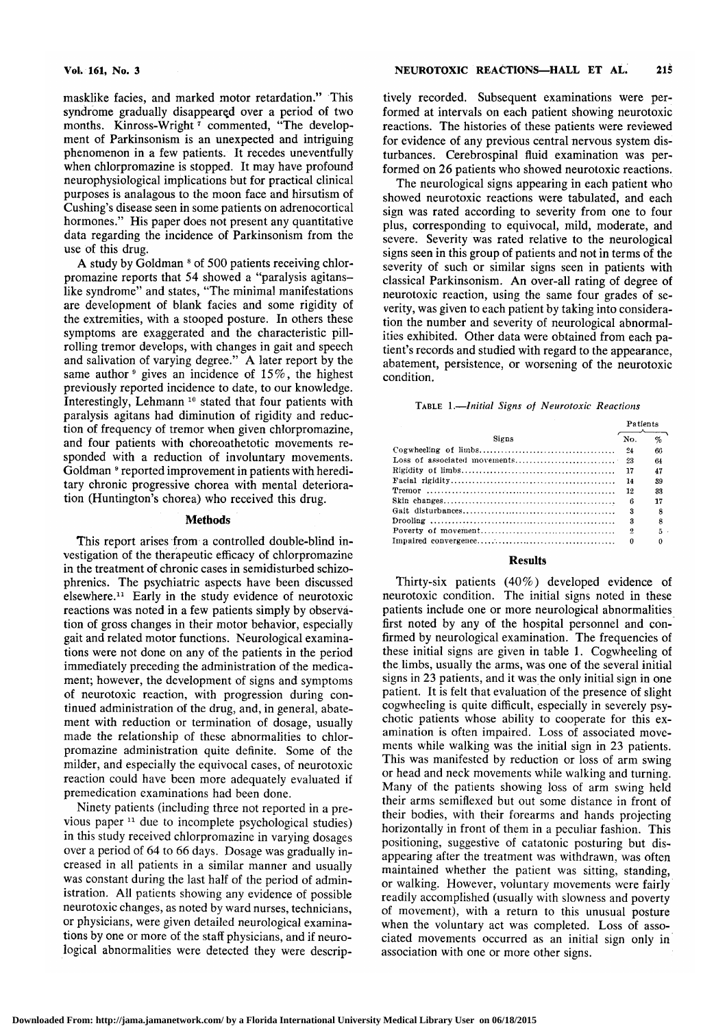masklike facies, and marked motor retardation." This syndrome gradually disappeared over <sup>a</sup> period of two months. Kinross-Wright<sup>7</sup> commented, "The development of Parkinsonism is an unexpected and intriguing phenomenon in <sup>a</sup> few patients. It recedes uneventfully when chlorpromazine is stopped. It may have profound neurophysiological implications but for practical clinical purposes is analagous to the moon face and hirsutism of Cushing's disease seen in some patients on adrenocortical hormones." His paper does not present any quantitative data regarding the incidence of Parkinsonism from the use of this drug.

A study by Goldman <sup>8</sup> of 500 patients receiving chlorpromazine reports that 54 showed <sup>a</sup> "paralysis agitanslike syndrome" and states, "The minimal manifestations are development of blank faciès and some rigidity of the extremities, with <sup>a</sup> stooped posture. In others these symptoms are exaggerated and the characteristic pillrolling tremor develops, with changes in gait and speech and salivation of varying degree." A later report by the same author<sup>9</sup> gives an incidence of  $15\%$ , the highest previously reported incidence to date, to our knowledge. Interestingly, Lehmann<sup>10</sup> stated that four patients with paralysis agitans had diminution of rigidity and reduction of frequency of tremor when given chlorpromazine, and four patients with choreoathetotic movements responded with <sup>a</sup> reduction of involuntary movements. Goldman  $^{\circ}$  reported improvement in patients with hereditary chronic progressive chorea with mental deterioration (Huntington's chorea) who received this drug.

#### **Methods**

This report arises from <sup>a</sup> controlled double-blind in vestigation of the therapeutic efficacy of chlorpromazine in the treatment of chronic cases in semidisturbed schizophrenics. The psychiatric aspects have been discussed elsewhere.11 Early in the study evidence of neurotoxic reactions was noted in a few patients simply by observation of gross changes in their motor behavior, especially gait and related motor functions. Neurological examinations were not done on any of the patients in the period immediately preceding the administration of the medicament; however, the development of signs and symptoms of neurotoxic reaction, with progression during continued administration of the drug, and, in general, abatement with reduction or termination of dosage, usually made the relationship of these abnormalities to chlorpromazine administration quite definite. Some of the milder, and especially the equivocal cases, of neurotoxic reaction could have been more adequately evaluated if premedication examinations had been done.

Ninety patients (including three not reported in <sup>a</sup> pre vious paper <sup>11</sup> due to incomplete psychological studies) in this study received chlorpromazine in varying dosages over <sup>a</sup> period of <sup>64</sup> to <sup>66</sup> days. Dosage was gradually in creased in all patients in <sup>a</sup> similar manner and usually was constant during the last half of the period of administration. All patients showing any evidence of possible neurotoxic changes, as noted by ward nurses, technicians, or physicians, were given detailed neurological examinations by one or more of the staff physicians, and if neurological abnormalities were detected they were descriptively recorded. Subsequent examinations were performed at intervals on each patient showing neurotoxic reactions. The histories of these patients were reviewed for evidence of any previous central nervous system disturbances. Cerebrospinal fluid examination was performed on 26 patients who showed neurotoxic reactions.

The neurological signs appearing in each patient who showed neurotoxic reactions were tabulated, and each sign was rated according to severity from one to four plus, corresponding to equivocal, mild, moderate, and severe. Severity was rated relative to the neurological signs seen in this group of patients and not in terms of the severity of such or similar signs seen in patients with classical Parkinsonism. An over-all rating of degree of neurotoxic reaction, using the same four grades of severity, was given to each patient by taking into consideration the number and severity of neurological abnormalities exhibited. Other data were obtained from each patient's records and studied with regard to the appearance, abatement, persistence, or worsening of the neurotoxic condition. **NEUROTOXIC REACTIONS—HALL ET AL.**<br>
Nely recorded. Subsequent examinations were permed at intervals on each patient showing neurotoon<br>
actions. The histories of these patients were reviewere reviewere. Cerebrospinal fluid

#### Table 1.—Initial Signs of Neurotoxic Reactions

|       |     | Patients |  |  |
|-------|-----|----------|--|--|
| Signs | No. | $\%$     |  |  |
|       | -24 | 66       |  |  |
|       |     | 64       |  |  |
|       | 17  | 47       |  |  |
|       | 14  | 39       |  |  |
|       | 12  | 33       |  |  |
|       | 6   | 17       |  |  |
|       | 2   | я        |  |  |
|       | 3   | 8        |  |  |
|       | 9   | 5.       |  |  |
|       | n   | o        |  |  |

# **Results**

Thirty-six patients (40%) developed evidence of neurotoxic condition. The initial signs noted in these patients include one or more neurological abnormalities first noted by any of the hospital personnel and confirmed by neurological examination. The frequencies of these initial signs are given in table 1. Cogwheeling of the limbs, usually the arms, was one of the several initial signs in <sup>23</sup> patients, and it was the only initial sign in one patient. It is felt that evaluation of the presence of slight cogwheeling is quite difficult, especially in severely psychotic patients whose ability to cooperate for this examination is often impaired. Loss of associated movements while walking was the initial sign in <sup>23</sup> patients. This was manifested by reduction or loss of arm swing or head and neck movements while walking and turning. Many of the patients showing loss of arm swing held their arms semiflexed but out some distance in front of their bodies, with their forearms and hands projecting horizontally in front of them in <sup>a</sup> peculiar fashion. This positioning, suggestive of catatonic posturing but dis appearing after the treatment was withdrawn, was often maintained whether the patient was sitting, standing, or walking. However, voluntary movements were fairly readily accomplished (usually with slowness and poverty of movement), with <sup>a</sup> return to this unusual posture when the voluntary act was completed. Loss of associated movements occurred as an initial sign only in association with one or more other signs.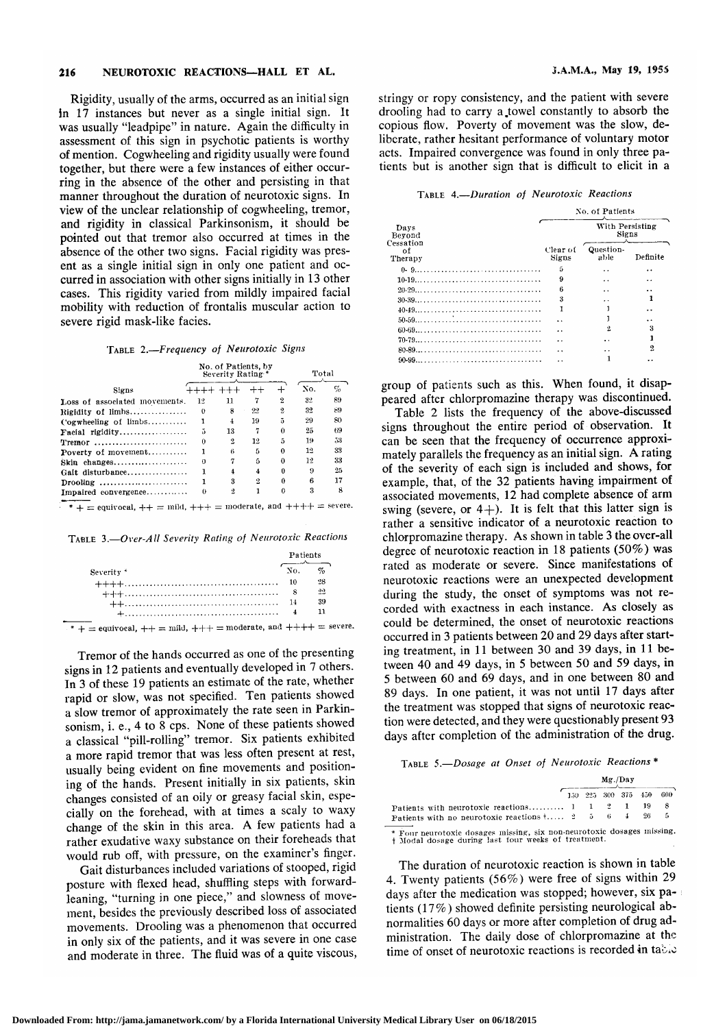#### 216 NEUROTOXIC REACTIONS-HALL ET AL.

Rigidity, usually of the arms, occurred as an initial sign in <sup>17</sup> instances but never as <sup>a</sup> single initial sign. It was usually "leadpipe" in nature. Again the difficulty in assessment of this sign in psychotic patients is worthy of mention. Cogwheeling and rigidity usually were found together, but there were a few instances of either occurring in the absence of the other and persisting in that manner throughout the duration of neurotoxic signs. In view of the unclear relationship of cogwheeling, tremor, and rigidity in classical Parkinsonism, it should be pointed out that tremor also occurred at times in the absence of the other two signs. Facial rigidity was present as a single initial sign in only one patient and occurred in association with other signs initially in <sup>13</sup> other cases. This rigidity varied from mildly impaired facial mobility with reduction of frontalis muscular action to severe rigid mask-like facies.

# Table 2.—Frequency of Neurotoxic Signs

| manner throughout the duration of neurotoxic signs. In<br>view of the unclear relationship of cogwheeling, tremor,<br>and rigidity in classical Parkinsonism, it should be<br>pointed out that tremor also occurred at times in the<br>absence of the other two signs. Facial rigidity was pres-<br>ent as a single initial sign in only one patient and oc-<br>curred in association with other signs initially in 13 other<br>cases. This rigidity varied from mildly impaired facial<br>mobility with reduction of frontalis muscular action to<br>severe rigid mask-like facies. |          |                                          |                     |                |       |    |
|--------------------------------------------------------------------------------------------------------------------------------------------------------------------------------------------------------------------------------------------------------------------------------------------------------------------------------------------------------------------------------------------------------------------------------------------------------------------------------------------------------------------------------------------------------------------------------------|----------|------------------------------------------|---------------------|----------------|-------|----|
| TABLE 2.-Frequency of Neurotoxic Signs                                                                                                                                                                                                                                                                                                                                                                                                                                                                                                                                               |          | No. of Patients, by<br>Severity Rating.* |                     |                | Total |    |
|                                                                                                                                                                                                                                                                                                                                                                                                                                                                                                                                                                                      |          |                                          |                     |                |       |    |
| Signs                                                                                                                                                                                                                                                                                                                                                                                                                                                                                                                                                                                |          | ++++ +++                                 | $^{\mathrm{++}}$    | ┿              | No.   | %  |
| Loss of associated movements.                                                                                                                                                                                                                                                                                                                                                                                                                                                                                                                                                        | 12       | 11                                       | 7                   | $\overline{2}$ | 32    | 89 |
| Rigidity of limbs                                                                                                                                                                                                                                                                                                                                                                                                                                                                                                                                                                    | $\theta$ | 8                                        | 22                  | $\overline{2}$ | 32    | 89 |
| Cogwheeling of limbs                                                                                                                                                                                                                                                                                                                                                                                                                                                                                                                                                                 | 1        | 4                                        | 19                  | 5              | 29    | 80 |
| Facial rigidity                                                                                                                                                                                                                                                                                                                                                                                                                                                                                                                                                                      | 5        | 13                                       | 7                   | 0              | 25    | 69 |
| Tremor                                                                                                                                                                                                                                                                                                                                                                                                                                                                                                                                                                               | 0        | $\overline{2}$                           | 12                  | 5              | 19    | 53 |
| Poverty of movement                                                                                                                                                                                                                                                                                                                                                                                                                                                                                                                                                                  | 1        | 6                                        | 5                   | 0              | 12    | 33 |
| Skin changes                                                                                                                                                                                                                                                                                                                                                                                                                                                                                                                                                                         | $\theta$ | 7                                        | 5                   | $\Omega$       | 12    | 33 |
| Gait disturbance                                                                                                                                                                                                                                                                                                                                                                                                                                                                                                                                                                     | 1        | $\overline{4}$                           | $\overline{\bf{4}}$ | $\bf{0}$       | 9     | 25 |
| Drooling                                                                                                                                                                                                                                                                                                                                                                                                                                                                                                                                                                             | ı        | 3                                        | 2                   | 0              | 6     | 17 |
| Impaired convergence                                                                                                                                                                                                                                                                                                                                                                                                                                                                                                                                                                 | $\bf{0}$ | $\overline{2}$                           | 1                   | $\theta$       | 3     | 8  |
| * $+$ = equivocal, $++$ = mild, $++$ = moderate, and $++$ $+$ = severe<br>TABLE 3.-Over-All Severity Rating of Neurotoxic Reactions                                                                                                                                                                                                                                                                                                                                                                                                                                                  |          |                                          |                     |                |       |    |
|                                                                                                                                                                                                                                                                                                                                                                                                                                                                                                                                                                                      |          |                                          |                     |                |       |    |

|                                                                                                                                                                        |  |             | $\mathbf{0}$ |      | 17 |  |  |
|------------------------------------------------------------------------------------------------------------------------------------------------------------------------|--|-------------|--------------|------|----|--|--|
|                                                                                                                                                                        |  | $2^{\circ}$ | $\theta$     | 3    | 8  |  |  |
| * $+$ = equivocal, $++$ = mild, $+++$ = moderate, and $++++$ = severe.                                                                                                 |  |             |              |      |    |  |  |
|                                                                                                                                                                        |  |             |              |      |    |  |  |
| TABLE 3.—Over-All Severity Rating of Neurotoxic Reactions                                                                                                              |  |             |              |      |    |  |  |
|                                                                                                                                                                        |  |             |              |      |    |  |  |
|                                                                                                                                                                        |  |             | Patients     |      |    |  |  |
| Severity <sup>*</sup>                                                                                                                                                  |  |             | No.          | $\%$ |    |  |  |
|                                                                                                                                                                        |  |             |              |      |    |  |  |
|                                                                                                                                                                        |  |             | 10           | 28   |    |  |  |
|                                                                                                                                                                        |  |             | - 8          | 22   |    |  |  |
|                                                                                                                                                                        |  |             | 14           | 39   |    |  |  |
|                                                                                                                                                                        |  |             | 4            | 11   |    |  |  |
| $+ \ldots \ldots \ldots \ldots \ldots \ldots \ldots \ldots \ldots \ldots \ldots \ldots \ldots$<br>* + = equivocal, + + = mild, + + + = moderate, and + + + + = severe. |  |             |              |      |    |  |  |

Tremor of the hands occurred as one of the presenting signs in <sup>12</sup> patients and eventually developed in <sup>7</sup> others. In <sup>3</sup> of these <sup>19</sup> patients an estimate of the rate, whether rapid or slow, was not specified. Ten patients showed a slow tremor of approximately the rate seen in Parkinsonism, i. e., <sup>4</sup> to <sup>8</sup> cps. None of these patients showed <sup>a</sup> classical "pill-rolling" tremor. Six patients exhibited <sup>a</sup> more rapid tremor that was less often present at rest, usually being evident on fine movements and positioning of the hands. Present initially in six patients, skin changes consisted of an oily or greasy facial skin, especially on the forehead, with at times <sup>a</sup> scaly to waxy change of the skin in this area. A few patients had <sup>a</sup> rather exudative waxy substance on their foreheads that would rub off, with pressure, on the examiner's finger.

Gait disturbances included variations of stooped, rigid posture with flexed head, shuffling steps with forwardleaning, "turning in one piece," and slowness of movement, besides the previously described loss of associated movements. Drooling was <sup>a</sup> phenomenon that occurred in only six of the patients, and it was severe in one case and moderate in three. The fluid was of <sup>a</sup> quite viscous, stringy or ropy consistency, and the patient with severe drooling had to carry a.towel constantly to absorb the copious flow. Poverty of movement was the slow, deliberate, rather hesitant performance of voluntary motor acts. Impaired convergence was found in only three pa tients but is another sign that is difficult to elicit in <sup>a</sup>

## Table 4.—Duration of Neurotoxic Reactions

|                                              | No. of Patients   |                          |                |  |  |
|----------------------------------------------|-------------------|--------------------------|----------------|--|--|
| Days<br>Beyond<br>Cessation<br>∩f<br>Therapy |                   | With Persisting<br>Signs |                |  |  |
|                                              | Clear of<br>Signs | Question-<br>able        | Definite       |  |  |
| $0 - 9$                                      | 5                 | $\ddot{\phantom{0}}$     | . .            |  |  |
|                                              | 9                 | $\ddot{\phantom{0}}$     |                |  |  |
|                                              | ĥ                 | . .                      |                |  |  |
|                                              | 3                 |                          |                |  |  |
|                                              |                   |                          |                |  |  |
|                                              |                   |                          |                |  |  |
|                                              | . .               | $\overline{2}$           | 3              |  |  |
|                                              |                   | . .                      |                |  |  |
|                                              | . .               |                          | $\overline{2}$ |  |  |
|                                              |                   | 1                        |                |  |  |

group of patients such as this. When found, it disappeared after chlorpromazine therapy was discontinued.

Table 2 lists the frequency of the above-discussed signs throughout the entire period of observation. It can be seen that the frequency of occurrence approximately parallels the frequency as an initial sign. A rating of the severity of each sign is included and shows, for example, that, of the <sup>32</sup> patients having impairment of associated movements, <sup>12</sup> had complete absence of arm swing (severe, or  $4+$ ). It is felt that this latter sign is rather <sup>a</sup> sensitive indicator of <sup>a</sup> neurotoxic reaction to chlorpromazine therapy. As shown in table <sup>3</sup> the over-all degree of neurotoxic reaction in <sup>18</sup> patients (50%) was rated as moderate or severe. Since manifestations of neurotoxic reactions were an unexpected development during the study, the onset of symptoms was not recorded with exactness in each instance. As closely as could be determined, the onset of neurotoxic reactions occurred in 3 patients between 20 and 29 days after starting treatment, in 11 between 30 and 39 days, in 11 between <sup>40</sup> and <sup>49</sup> days, in <sup>5</sup> between <sup>50</sup> and <sup>59</sup> days, in <sup>5</sup> between 60 and 69 days, and in one between 80 and <sup>89</sup> days. In one patient, it was not until <sup>17</sup> days after the treatment was stopped that signs of neurotoxic reaction were detected, and they were questionably present <sup>93</sup> days after completion of the administration of the drug.

Table 5.—Dosage at Onset of Neurotoxic Reactions \*

|                                                                | Mg./Day |  |  |             |     |      |
|----------------------------------------------------------------|---------|--|--|-------------|-----|------|
|                                                                | 150.    |  |  | 225 300 375 | 450 | -600 |
| Patients with neurotoxic reactions $1 \quad 1 \quad 2 \quad 1$ |         |  |  |             |     | 8    |
| Patients with no neurotoxic reactions $\dots$ 2 5 6 4          |         |  |  |             | 96  | 5    |

The duration of neurotoxic reaction is shown in table 4. Twenty patients (56%) were free of signs within <sup>29</sup> days after the medication was stopped; however, six pa tients (17%) showed definite persisting neurological abnormalities 60 days or more after completion of drug administration. The daily dose of chlorpromazine at the time of onset of neurotoxic reactions is recorded in table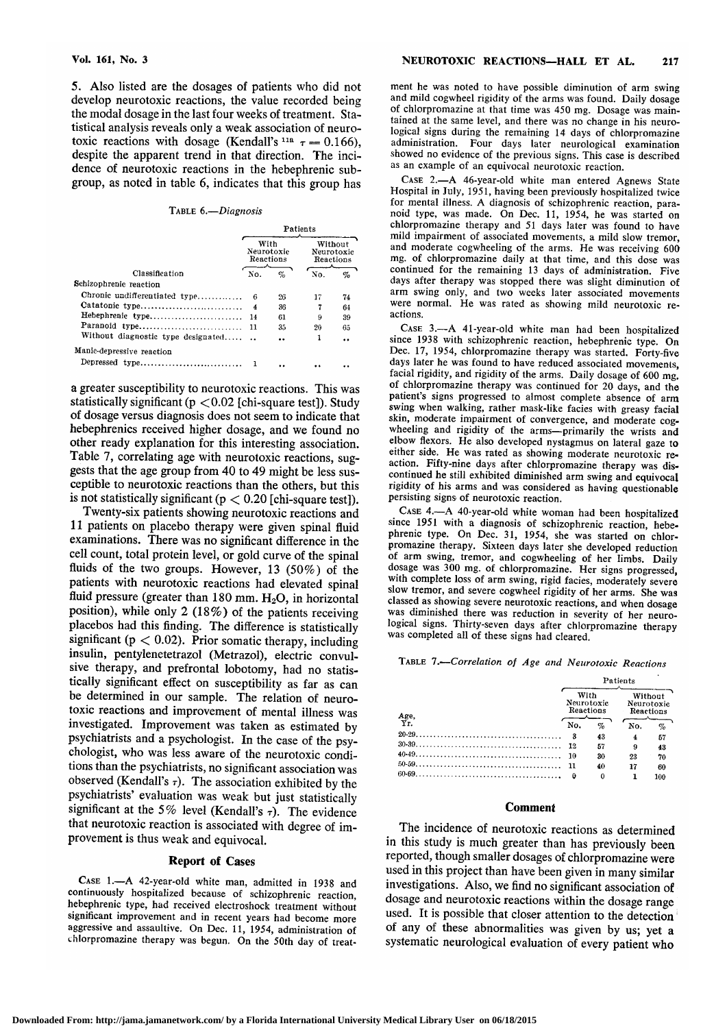5. Also listed are the dosages of patients who did not develop neurotoxic reactions, the value recorded being the modal dosage in the last four weeks of treatment. Statistical analysis reveals only a weak association of neurotoxic reactions with dosage (Kendall's<sup>11a</sup>  $\tau = 0.166$ ), despite the apparent trend in that direction. The incidence of neurotoxic reactions in the hebephrenic subgroup, as noted in table 6, indicates that this group has

# Table 6.—Diagnosis

| Patients                           |      |                                    |      |  |
|------------------------------------|------|------------------------------------|------|--|
|                                    |      | Without<br>Neurotoxic<br>Reactions |      |  |
| No.                                | $\%$ | No.                                | $\%$ |  |
|                                    |      |                                    |      |  |
| Chronic undifferentiated type<br>6 | 26   | 17                                 | 74   |  |
| Catatonic type<br>4                | 36   | 7                                  | 64   |  |
| Hebephrenic type<br>14             | 61   | 9                                  | 39   |  |
| Paranoid type<br>11.               | 3.5  | 20                                 | 65   |  |
| Without diagnostic type designated |      | 1                                  |      |  |
|                                    |      |                                    |      |  |
|                                    |      |                                    |      |  |
|                                    |      | With<br>Neurotoxic<br>Reactions    |      |  |

a greater susceptibility to neurotoxic reactions. This was statistically significant ( $p < 0.02$  [chi-square test]). Study of dosage versus diagnosis does not seem to indicate that hebephrenics received higher dosage, and we found no other ready explanation for this interesting association. Table 7, correlating age with neurotoxic reactions, suggests that the age group from 40 to 49 might be less susceptible to neurotoxic reactions than the others, but this is not statistically significant ( $p < 0.20$  [chi-square test]).

Twenty-six patients showing neurotoxic reactions and <sup>11</sup> patients on placebo therapy were given spinal fluid examinations. There was no significant difference in the cell count, total protein level, or gold curve of the spinal fluids of the two groups. However, <sup>13</sup> (50%) of the patients with neurotoxic reactions had elevated spinal fluid pressure (greater than  $180$  mm.  $H<sub>2</sub>O$ , in horizontal position), while only 2 (18%) of the patients receiving placebos had this finding. The difference is statistically significant ( $p < 0.02$ ). Prior somatic therapy, including insulin, pentylenetetrazol (Metrazol), electric convulsive therapy, and prefrontal lobotomy, had no statistically significant effect on susceptibility as far as can be determined in our sample. The relation of neurotoxic reactions and improvement of mental illness was psychiatrists and a psychologist. In the case of the psychologist, who was less aware of the neurotoxic conditions than the psychiatrists, no significant association was observed (Kendall's  $\tau$ ). The association exhibited by the psychiatrists' evaluation was weak but just statistically significant at the 5% level (Kendall's  $\tau$ ). The evidence that neurotoxic reaction is associated with degree of im provement is thus weak and equivocal.

# Report of Cases

CASE 1.—A 42-year-old white man, admitted in 1938 and continuously hospitalized because of schizophrenic reaction. hebephrenic type, had received electroshock treatment without significant improvement and in recent years had become more aggressive and assaultive. On Dec. 11, 1954, administration of chlorpromazine therapy was begun. On the 50th day of treatment he was noted to have possible diminution of arm swing and mild cogwheel rigidity of the arms was found. Daily dosage of chlorpromazine at that time was 450 mg. Dosage was maintained at the same level, and there was no change in his neurological signs during the remaining <sup>14</sup> days of chlorpromazine administration. Four days later neurological examination showed no evidence of the previous signs. This case is described as an example of an equivocal neurotoxic reaction.

Case 2.—A 46-year-old white man entered Agnews State Hospital in July, 1951, having been previously hospitalized twice for mental illness. A diagnosis of schizophrenic reaction, para-<br>noid type, was made. On Dec. 11, 1954, he was started on chlorpromazine therapy and <sup>51</sup> days later was found to have mild impairment of associated movements, <sup>a</sup> mild slow tremor, and moderate cogwheeling of the arms. He was receiving 600 mg. of chlorpromazine daily at that time, and this dose was continued for the remaining <sup>13</sup> days of administration. Five days after therapy was stopped there was slight diminution of arm swing only, and two weeks later associated movements were normal. He was rated as showing mild neurotoxic reactions.

Case 3.—A 41-year-old white man had been hospitalized since 1938 with schizophrenic reaction, hebephrenic type. On Dec. 17, 1954, chlorpromazine therapy was started. Forty-five days later he was found to have reduced associated movements,<br>facial rigidity, and rigidity of the arms. Daily dosage of 600 mg,<br>of chlorpromazine therapy was continued for 20 days, and the<br>patient's signs progressed to al swing when walking, rather mask-like facies with greasy facial skin, moderate impairment of convergence, and moderate cogwheeling and rigidity of the arms—primarily the wrists and elbow flexors. He also developed nystagmus on lateral gaze to either side. He was rated as showing moderate neurotoxic re action. Fifty-nine days after chlorpromazine therapy was dis-<br>continued he still exhibited diminished arm swing and equivocal rigidity of his arms and was considered as having questionable<br>persisting signs of neurotoxic reaction.<br>CASE 4.—A 40-year-old white woman had been hospitalized

since 1951 with a diagnosis of schizophrenic reaction, hebephrenic type. On Dec. 31, 1954, she was started on chlorpromazine therapy. Sixteen days later she developed reduction dosage was 300 mg. of chlorpromazine. Her signs progressed, with complete loss of arm swing, rigid facies, moderately severe slow tremor, and severe cogwheel rigidity of her arms. She was classed as showing severe neurotoxic reactions, and when dosage logical signs. Thirty-seven days after chlorpromazine therapy was completed all of these signs had cleared.

# Table 7.—Correlation of Age and Neurotoxic Reactions

|      | Patients                        |    |                                    |      |  |  |
|------|---------------------------------|----|------------------------------------|------|--|--|
| Age, | With<br>Neurotoxic<br>Reactions |    | Without<br>Neurotoxic<br>Reactions |      |  |  |
| Yr.  | No.                             | %  | No.                                | $\%$ |  |  |
|      |                                 | 43 | 4                                  | 57   |  |  |
|      | 12                              | 57 | 9                                  | 43   |  |  |
|      | 10                              | 30 | 23                                 | 70   |  |  |
|      |                                 | 40 | 17                                 | 60   |  |  |
|      | ₿                               | 0  | 1                                  | 100  |  |  |

#### **Comment**

The incidence of neurotoxic reactions as determined in this study is much greater than has previously been reported, though smaller dosages of chlorpromazine were used in this project than have been given in many similar investigations. Also, we find no significant association of used. It is possible that closer attention to the detection of any of these abnormalities was given by us; yet <sup>a</sup> systematic neurological evaluation of every patient who